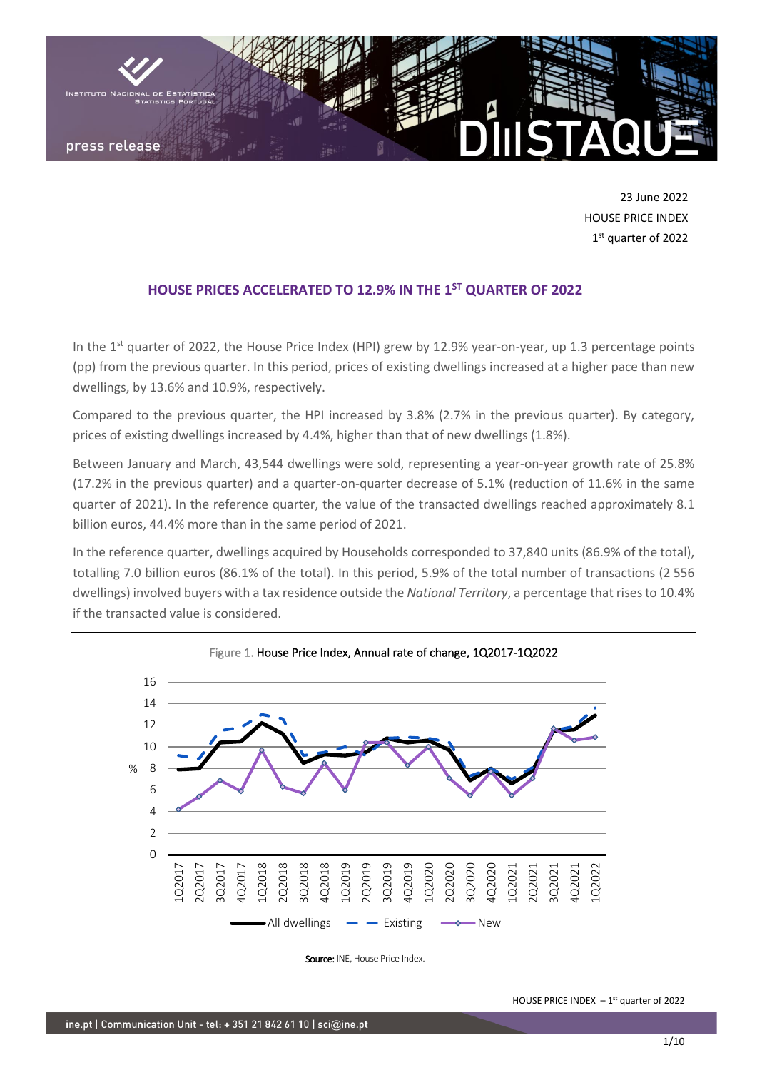

23 June 2022 HOUSE PRICE INDEX 1st quarter of 2022

# **HOUSE PRICES ACCELERATED TO 12.9% IN THE 1 ST QUARTER OF 2022**

In the 1<sup>st</sup> quarter of 2022, the House Price Index (HPI) grew by 12.9% year-on-year, up 1.3 percentage points (pp) from the previous quarter. In this period, prices of existing dwellings increased at a higher pace than new dwellings, by 13.6% and 10.9%, respectively.

Compared to the previous quarter, the HPI increased by 3.8% (2.7% in the previous quarter). By category, prices of existing dwellings increased by 4.4%, higher than that of new dwellings (1.8%).

Between January and March, 43,544 dwellings were sold, representing a year-on-year growth rate of 25.8% (17.2% in the previous quarter) and a quarter-on-quarter decrease of 5.1% (reduction of 11.6% in the same quarter of 2021). In the reference quarter, the value of the transacted dwellings reached approximately 8.1 billion euros, 44.4% more than in the same period of 2021.

In the reference quarter, dwellings acquired by Households corresponded to 37,840 units (86.9% of the total), totalling 7.0 billion euros (86.1% of the total). In this period, 5.9% of the total number of transactions (2 556 dwellings) involved buyers with a tax residence outside the *National Territory*, a percentage that rises to 10.4% if the transacted value is considered.



Figure 1. House Price Index, Annual rate of change, 1Q2017-1Q2022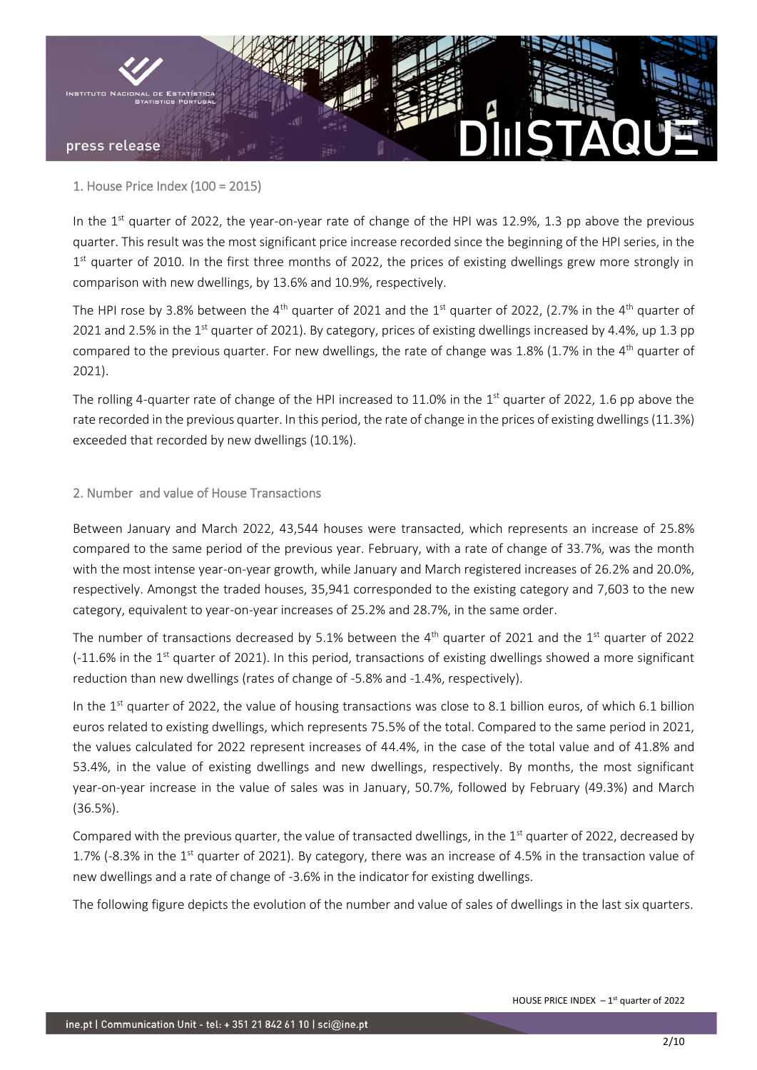

1. House Price Index (100 = 2015)

In the  $1<sup>st</sup>$  quarter of 2022, the year-on-year rate of change of the HPI was 12.9%, 1.3 pp above the previous quarter. This result was the most significant price increase recorded since the beginning of the HPI series, in the 1<sup>st</sup> quarter of 2010. In the first three months of 2022, the prices of existing dwellings grew more strongly in comparison with new dwellings, by 13.6% and 10.9%, respectively.

The HPI rose by 3.8% between the 4<sup>th</sup> quarter of 2021 and the 1<sup>st</sup> quarter of 2022, (2.7% in the 4<sup>th</sup> quarter of 2021 and 2.5% in the 1<sup>st</sup> quarter of 2021). By category, prices of existing dwellings increased by 4.4%, up 1.3 pp compared to the previous quarter. For new dwellings, the rate of change was 1.8% (1.7% in the 4<sup>th</sup> quarter of 2021).

The rolling 4-quarter rate of change of the HPI increased to 11.0% in the 1<sup>st</sup> quarter of 2022, 1.6 pp above the rate recorded in the previous quarter. In this period, the rate of change in the prices of existing dwellings (11.3%) exceeded that recorded by new dwellings (10.1%).

## 2. Number and value of House Transactions

Between January and March 2022, 43,544 houses were transacted, which represents an increase of 25.8% compared to the same period of the previous year. February, with a rate of change of 33.7%, was the month with the most intense year-on-year growth, while January and March registered increases of 26.2% and 20.0%, respectively. Amongst the traded houses, 35,941 corresponded to the existing category and 7,603 to the new category, equivalent to year-on-year increases of 25.2% and 28.7%, in the same order.

The number of transactions decreased by 5.1% between the  $4<sup>th</sup>$  quarter of 2021 and the 1<sup>st</sup> quarter of 2022  $(-11.6\%$  in the 1<sup>st</sup> quarter of 2021). In this period, transactions of existing dwellings showed a more significant reduction than new dwellings (rates of change of -5.8% and -1.4%, respectively).

In the  $1<sup>st</sup>$  quarter of 2022, the value of housing transactions was close to 8.1 billion euros, of which 6.1 billion euros related to existing dwellings, which represents 75.5% of the total. Compared to the same period in 2021, the values calculated for 2022 represent increases of 44.4%, in the case of the total value and of 41.8% and 53.4%, in the value of existing dwellings and new dwellings, respectively. By months, the most significant year-on-year increase in the value of sales was in January, 50.7%, followed by February (49.3%) and March (36.5%).

Compared with the previous quarter, the value of transacted dwellings, in the 1<sup>st</sup> quarter of 2022, decreased by 1.7% (-8.3% in the  $1<sup>st</sup>$  quarter of 2021). By category, there was an increase of 4.5% in the transaction value of new dwellings and a rate of change of -3.6% in the indicator for existing dwellings.

The following figure depicts the evolution of the number and value of sales of dwellings in the last six quarters.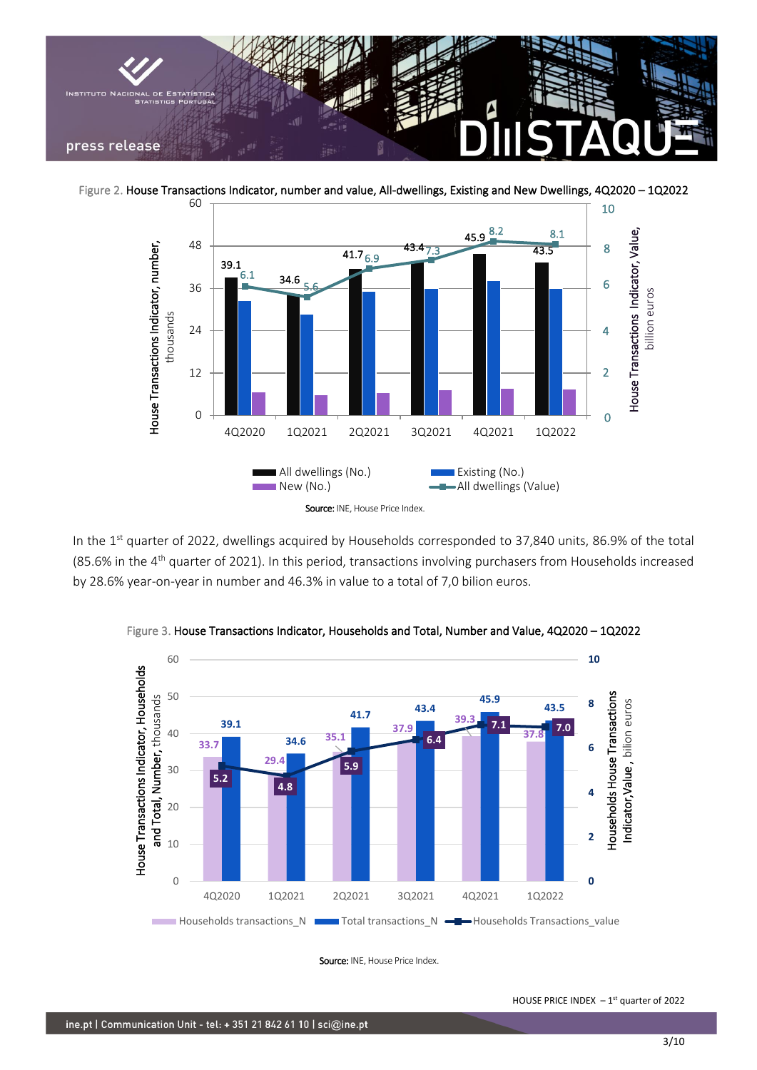

Figure 2. House Transactions Indicator, number and value, All-dwellings, Existing and New Dwellings, 4Q2020 – 1Q2022



In the 1<sup>st</sup> quarter of 2022, dwellings acquired by Households corresponded to 37,840 units, 86.9% of the total (85.6% in the  $4<sup>th</sup>$  quarter of 2021). In this period, transactions involving purchasers from Households increased by 28.6% year-on-year in number and 46.3% in value to a total of 7,0 bilion euros.



Figure 3. House Transactions Indicator, Households and Total, Number and Value, 4Q2020 – 1Q2022

Source: INE, House Price Index.

HOUSE PRICE INDEX  $-1<sup>st</sup>$  quarter of 2022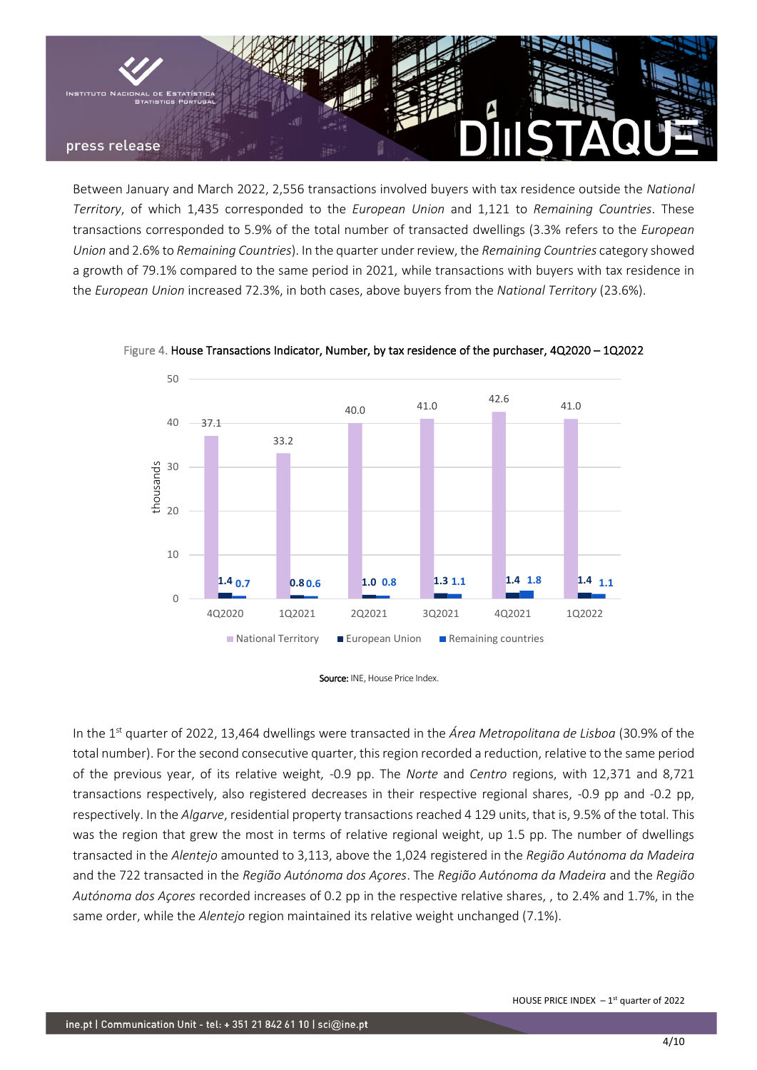

Between January and March 2022, 2,556 transactions involved buyers with tax residence outside the *National Territory*, of which 1,435 corresponded to the *European Union* and 1,121 to *Remaining Countries*. These transactions corresponded to 5.9% of the total number of transacted dwellings (3.3% refers to the *European Union* and 2.6% to *Remaining Countries*). In the quarter under review, the *Remaining Countries* category showed a growth of 79.1% compared to the same period in 2021, while transactions with buyers with tax residence in the *European Union* increased 72.3%, in both cases, above buyers from the *National Territory* (23.6%).



Figure 4. House Transactions Indicator, Number, by tax residence of the purchaser, 4Q2020 – 1Q2022

Source: INE, House Price Index.

In the 1st quarter of 2022, 13,464 dwellings were transacted in the *Área Metropolitana de Lisboa* (30.9% of the total number). For the second consecutive quarter, this region recorded a reduction, relative to the same period of the previous year, of its relative weight, -0.9 pp. The *Norte* and *Centro* regions, with 12,371 and 8,721 transactions respectively, also registered decreases in their respective regional shares, -0.9 pp and -0.2 pp, respectively. In the *Algarve*, residential property transactions reached 4 129 units, that is, 9.5% of the total. This was the region that grew the most in terms of relative regional weight, up 1.5 pp. The number of dwellings transacted in the *Alentejo* amounted to 3,113, above the 1,024 registered in the *Região Autónoma da Madeira* and the 722 transacted in the *Região Autónoma dos Açores*. The *Região Autónoma da Madeira* and the *Região Autónoma dos Açores* recorded increases of 0.2 pp in the respective relative shares, , to 2.4% and 1.7%, in the same order, while the *Alentejo* region maintained its relative weight unchanged (7.1%).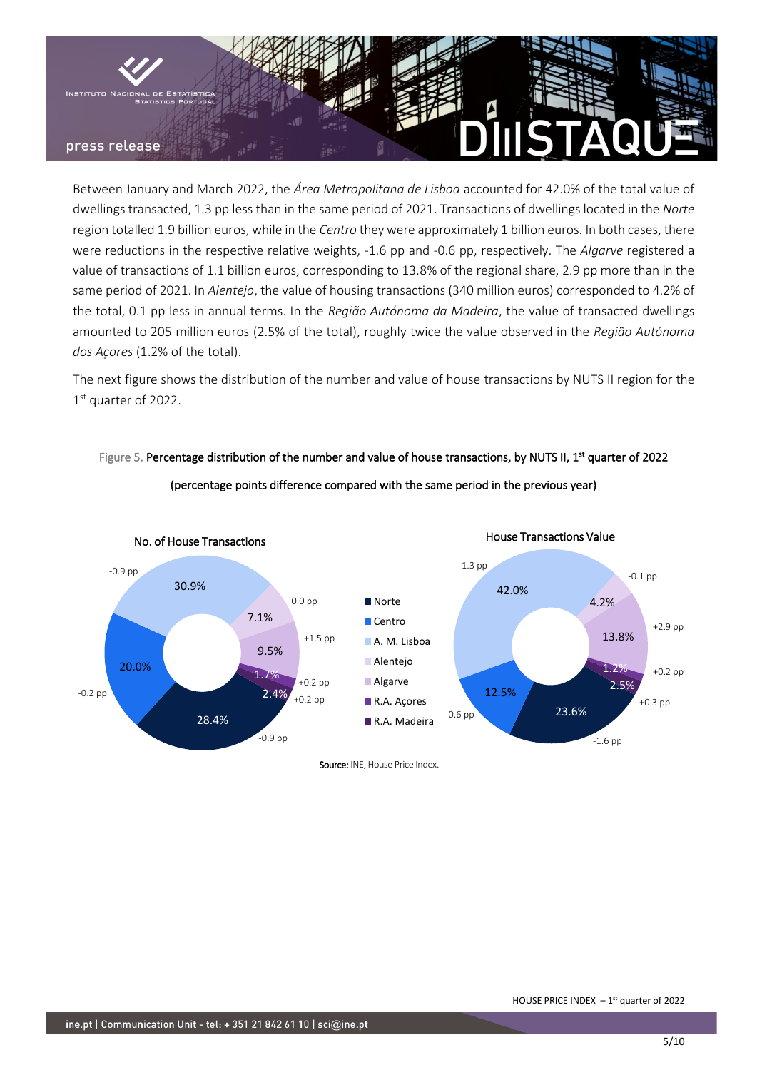

Between January and March 2022, the *Área Metropolitana de Lisboa* accounted for 42.0% of the total value of dwellings transacted, 1.3 pp less than in the same period of 2021. Transactions of dwellings located in the *Norte* region totalled 1.9 billion euros, while in the *Centro* they were approximately 1 billion euros. In both cases, there were reductions in the respective relative weights, -1.6 pp and -0.6 pp, respectively. The *Algarve* registered a value of transactions of 1.1 billion euros, corresponding to 13.8% of the regional share, 2.9 pp more than in the same period of 2021. In *Alentejo*, the value of housing transactions (340 million euros) corresponded to 4.2% of the total, 0.1 pp less in annual terms. In the *Região Autónoma da Madeira*, the value of transacted dwellings amounted to 205 million euros (2.5% of the total), roughly twice the value observed in the *Região Autónoma dos Açores* (1.2% of the total).

The next figure shows the distribution of the number and value of house transactions by NUTS II region for the 1st quarter of 2022.



Figure 5. Percentage distribution of the number and value of house transactions, by NUTS II, 1<sup>st</sup> quarter of 2022 (percentage points difference compared with the same period in the previous year)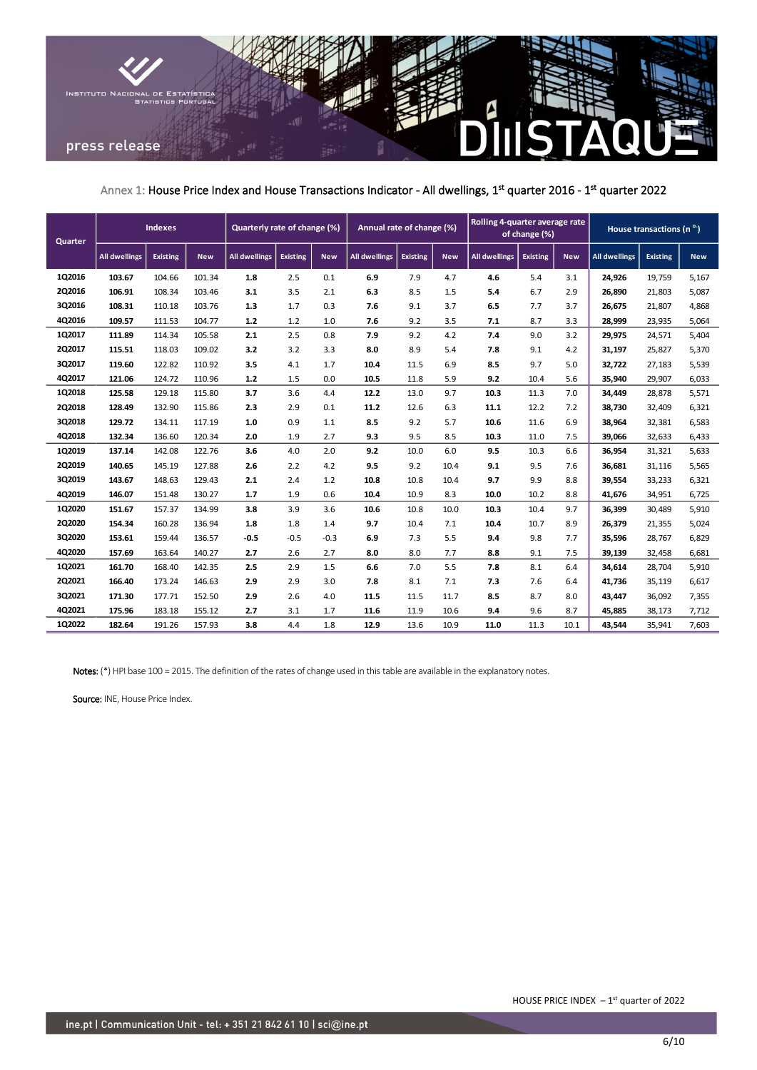

Annex 1: House Price Index and House Transactions Indicator - All dwellings, 1<sup>st</sup> quarter 2016 - 1<sup>st</sup> quarter 2022

| Quarter       | <b>Indexes</b>       |                 | Rolling 4-quarter average rate<br>Annual rate of change (%)<br>Quarterly rate of change (%)<br>of change (%) |                      |                 |            |                      | House transactions (n <sup>o.</sup> ) |            |                      |                 |            |                      |                 |            |
|---------------|----------------------|-----------------|--------------------------------------------------------------------------------------------------------------|----------------------|-----------------|------------|----------------------|---------------------------------------|------------|----------------------|-----------------|------------|----------------------|-----------------|------------|
|               | <b>All dwellings</b> | <b>Existing</b> | <b>New</b>                                                                                                   | <b>All dwellings</b> | <b>Existing</b> | <b>New</b> | <b>All dwellings</b> | <b>Existing</b>                       | <b>New</b> | <b>All dwellings</b> | <b>Existing</b> | <b>New</b> | <b>All dwellings</b> | <b>Existing</b> | <b>New</b> |
| 1Q2016        | 103.67               | 104.66          | 101.34                                                                                                       | 1.8                  | 2.5             | 0.1        | 6.9                  | 7.9                                   | 4.7        | 4.6                  | 5.4             | 3.1        | 24,926               | 19,759          | 5,167      |
| 2Q2016        | 106.91               | 108.34          | 103.46                                                                                                       | 3.1                  | 3.5             | 2.1        | 6.3                  | 8.5                                   | 1.5        | 5.4                  | 6.7             | 2.9        | 26,890               | 21,803          | 5,087      |
| 3Q2016        | 108.31               | 110.18          | 103.76                                                                                                       | 1.3                  | 1.7             | 0.3        | 7.6                  | 9.1                                   | 3.7        | 6.5                  | 7.7             | 3.7        | 26,675               | 21,807          | 4,868      |
| 4Q2016        | 109.57               | 111.53          | 104.77                                                                                                       | 1.2                  | 1.2             | 1.0        | 7.6                  | 9.2                                   | 3.5        | 7.1                  | 8.7             | 3.3        | 28,999               | 23,935          | 5,064      |
| 1Q2017        | 111.89               | 114.34          | 105.58                                                                                                       | 2.1                  | 2.5             | 0.8        | 7.9                  | 9.2                                   | 4.2        | 7.4                  | 9.0             | 3.2        | 29,975               | 24,571          | 5,404      |
| 2Q2017        | 115.51               | 118.03          | 109.02                                                                                                       | 3.2                  | 3.2             | 3.3        | 8.0                  | 8.9                                   | 5.4        | 7.8                  | 9.1             | 4.2        | 31,197               | 25,827          | 5,370      |
| 3Q2017        | 119.60               | 122.82          | 110.92                                                                                                       | 3.5                  | 4.1             | 1.7        | 10.4                 | 11.5                                  | 6.9        | 8.5                  | 9.7             | 5.0        | 32,722               | 27,183          | 5,539      |
| 4Q2017        | 121.06               | 124.72          | 110.96                                                                                                       | 1.2                  | 1.5             | 0.0        | 10.5                 | 11.8                                  | 5.9        | 9.2                  | 10.4            | 5.6        | 35,940               | 29,907          | 6,033      |
| 1Q2018        | 125.58               | 129.18          | 115.80                                                                                                       | 3.7                  | 3.6             | 4.4        | 12.2                 | 13.0                                  | 9.7        | 10.3                 | 11.3            | 7.0        | 34,449               | 28,878          | 5,571      |
| <b>2Q2018</b> | 128.49               | 132.90          | 115.86                                                                                                       | 2.3                  | 2.9             | 0.1        | 11.2                 | 12.6                                  | 6.3        | 11.1                 | 12.2            | 7.2        | 38,730               | 32,409          | 6,321      |
| 3Q2018        | 129.72               | 134.11          | 117.19                                                                                                       | 1.0                  | 0.9             | 1.1        | 8.5                  | 9.2                                   | 5.7        | 10.6                 | 11.6            | 6.9        | 38,964               | 32,381          | 6,583      |
| 4Q2018        | 132.34               | 136.60          | 120.34                                                                                                       | 2.0                  | 1.9             | 2.7        | 9.3                  | 9.5                                   | 8.5        | 10.3                 | 11.0            | 7.5        | 39,066               | 32,633          | 6,433      |
| 1Q2019        | 137.14               | 142.08          | 122.76                                                                                                       | 3.6                  | 4.0             | 2.0        | 9.2                  | 10.0                                  | 6.0        | 9.5                  | 10.3            | 6.6        | 36,954               | 31,321          | 5,633      |
| 2Q2019        | 140.65               | 145.19          | 127.88                                                                                                       | 2.6                  | 2.2             | 4.2        | 9.5                  | 9.2                                   | 10.4       | 9.1                  | 9.5             | 7.6        | 36,681               | 31,116          | 5,565      |
| 3Q2019        | 143.67               | 148.63          | 129.43                                                                                                       | 2.1                  | 2.4             | 1.2        | 10.8                 | 10.8                                  | 10.4       | 9.7                  | 9.9             | 8.8        | 39,554               | 33,233          | 6,321      |
| 4Q2019        | 146.07               | 151.48          | 130.27                                                                                                       | 1.7                  | 1.9             | 0.6        | 10.4                 | 10.9                                  | 8.3        | 10.0                 | 10.2            | 8.8        | 41,676               | 34,951          | 6,725      |
| 1Q2020        | 151.67               | 157.37          | 134.99                                                                                                       | 3.8                  | 3.9             | 3.6        | 10.6                 | 10.8                                  | 10.0       | 10.3                 | 10.4            | 9.7        | 36,399               | 30,489          | 5,910      |
| 2Q2020        | 154.34               | 160.28          | 136.94                                                                                                       | 1.8                  | 1.8             | 1.4        | 9.7                  | 10.4                                  | 7.1        | 10.4                 | 10.7            | 8.9        | 26,379               | 21,355          | 5,024      |
| 3Q2020        | 153.61               | 159.44          | 136.57                                                                                                       | $-0.5$               | $-0.5$          | $-0.3$     | 6.9                  | 7.3                                   | 5.5        | 9.4                  | 9.8             | 7.7        | 35,596               | 28,767          | 6,829      |
| 4Q2020        | 157.69               | 163.64          | 140.27                                                                                                       | 2.7                  | 2.6             | 2.7        | 8.0                  | 8.0                                   | 7.7        | 8.8                  | 9.1             | 7.5        | 39,139               | 32,458          | 6,681      |
| 1Q2021        | 161.70               | 168.40          | 142.35                                                                                                       | 2.5                  | 2.9             | 1.5        | 6.6                  | 7.0                                   | 5.5        | 7.8                  | 8.1             | 6.4        | 34,614               | 28,704          | 5,910      |
| 2Q2021        | 166.40               | 173.24          | 146.63                                                                                                       | 2.9                  | 2.9             | 3.0        | 7.8                  | 8.1                                   | 7.1        | 7.3                  | 7.6             | 6.4        | 41,736               | 35,119          | 6,617      |
| 3Q2021        | 171.30               | 177.71          | 152.50                                                                                                       | 2.9                  | 2.6             | 4.0        | 11.5                 | 11.5                                  | 11.7       | 8.5                  | 8.7             | 8.0        | 43,447               | 36,092          | 7,355      |
| 4Q2021        | 175.96               | 183.18          | 155.12                                                                                                       | 2.7                  | 3.1             | 1.7        | 11.6                 | 11.9                                  | 10.6       | 9.4                  | 9.6             | 8.7        | 45,885               | 38,173          | 7,712      |
| 1Q2022        | 182.64               | 191.26          | 157.93                                                                                                       | 3.8                  | 4.4             | 1.8        | 12.9                 | 13.6                                  | 10.9       | 11.0                 | 11.3            | 10.1       | 43,544               | 35,941          | 7,603      |

Notes: (\*) HPI base 100 = 2015. The definition of the rates of change used in this table are available in the explanatory notes.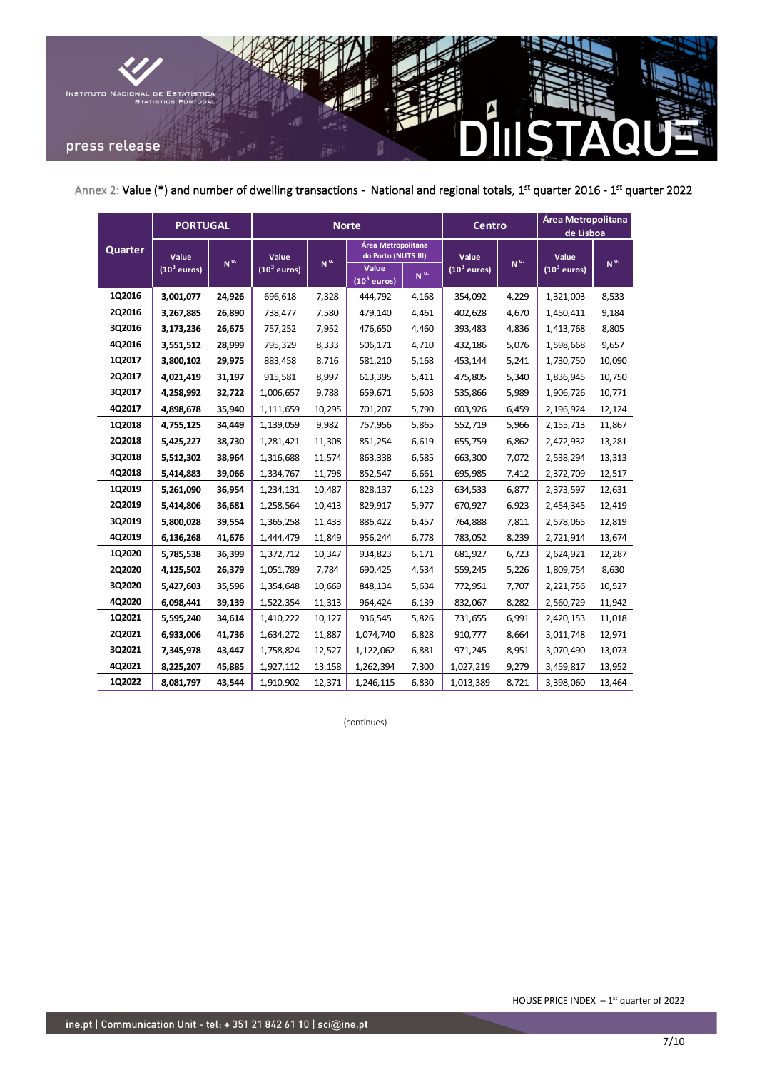

Annex 2: Value (\*) and number of dwelling transactions - National and regional totals, 1<sup>st</sup> quarter 2016 - 1<sup>st</sup> quarter 2022

|         | <b>PORTUGAL</b>         |         |                                  |                 | <b>Norte</b>                              |                 | <b>Centro</b>           |                 | Área Metropolitana<br>de Lisboa |                 |
|---------|-------------------------|---------|----------------------------------|-----------------|-------------------------------------------|-----------------|-------------------------|-----------------|---------------------------------|-----------------|
| Quarter | Value                   | $N^{o}$ | Value<br>(10 <sup>3</sup> euros) | N <sup>o.</sup> | Área Metropolitana<br>do Porto (NUTS III) |                 | Value                   | N <sup>o.</sup> | Value                           | N <sup>o.</sup> |
|         | (10 <sup>3</sup> euros) |         |                                  |                 | Value<br>(10 <sup>3</sup> euros)          | N <sup>o.</sup> | (10 <sup>3</sup> euros) |                 | $(10^3$ euros)                  |                 |
| 1Q2016  | 3,001,077               | 24,926  | 696,618                          | 7,328           | 444,792                                   | 4,168           | 354,092                 | 4,229           | 1,321,003                       | 8,533           |
| 2Q2016  | 3,267,885               | 26,890  | 738,477                          | 7,580           | 479,140                                   | 4,461           | 402,628                 | 4,670           | 1,450,411                       | 9,184           |
| 3Q2016  | 3,173,236               | 26,675  | 757,252                          | 7,952           | 476,650                                   | 4,460           | 393,483                 | 4,836           | 1,413,768                       | 8,805           |
| 4Q2016  | 3,551,512               | 28,999  | 795,329                          | 8,333           | 506,171                                   | 4,710           | 432,186                 | 5,076           | 1,598,668                       | 9,657           |
| 1Q2017  | 3,800,102               | 29,975  | 883,458                          | 8,716           | 581,210                                   | 5,168           | 453,144                 | 5,241           | 1,730,750                       | 10,090          |
| 2Q2017  | 4,021,419               | 31,197  | 915,581                          | 8,997           | 613,395                                   | 5,411           | 475,805                 | 5,340           | 1,836,945                       | 10,750          |
| 3Q2017  | 4,258,992               | 32,722  | 1,006,657                        | 9,788           | 659,671                                   | 5,603           | 535,866                 | 5,989           | 1,906,726                       | 10,771          |
| 4Q2017  | 4,898,678               | 35,940  | 1,111,659                        | 10,295          | 701,207                                   | 5,790           | 603,926                 | 6,459           | 2,196,924                       | 12,124          |
| 1Q2018  | 4,755,125               | 34,449  | 1,139,059                        | 9,982           | 757,956                                   | 5,865           | 552,719                 | 5,966           | 2,155,713                       | 11,867          |
| 2Q2018  | 5,425,227               | 38,730  | 1,281,421                        | 11,308          | 851,254                                   | 6,619           | 655,759                 | 6,862           | 2,472,932                       | 13,281          |
| 3Q2018  | 5,512,302               | 38,964  | 1,316,688                        | 11,574          | 863,338                                   | 6,585           | 663,300                 | 7,072           | 2,538,294                       | 13,313          |
| 4Q2018  | 5,414,883               | 39,066  | 1,334,767                        | 11,798          | 852,547                                   | 6,661           | 695,985                 | 7,412           | 2,372,709                       | 12,517          |
| 1Q2019  | 5,261,090               | 36,954  | 1,234,131                        | 10,487          | 828,137                                   | 6,123           | 634,533                 | 6,877           | 2,373,597                       | 12,631          |
| 2Q2019  | 5,414,806               | 36,681  | 1,258,564                        | 10,413          | 829,917                                   | 5,977           | 670,927                 | 6,923           | 2,454,345                       | 12,419          |
| 3Q2019  | 5,800,028               | 39,554  | 1,365,258                        | 11,433          | 886,422                                   | 6,457           | 764,888                 | 7,811           | 2,578,065                       | 12,819          |
| 4Q2019  | 6,136,268               | 41,676  | 1,444,479                        | 11,849          | 956,244                                   | 6,778           | 783,052                 | 8,239           | 2,721,914                       | 13,674          |
| 1Q2020  | 5,785,538               | 36,399  | 1,372,712                        | 10,347          | 934,823                                   | 6,171           | 681,927                 | 6,723           | 2,624,921                       | 12,287          |
| 2Q2020  | 4,125,502               | 26,379  | 1,051,789                        | 7,784           | 690,425                                   | 4,534           | 559,245                 | 5,226           | 1,809,754                       | 8,630           |
| 3Q2020  | 5,427,603               | 35,596  | 1,354,648                        | 10,669          | 848,134                                   | 5,634           | 772,951                 | 7,707           | 2,221,756                       | 10,527          |
| 4Q2020  | 6,098,441               | 39,139  | 1,522,354                        | 11,313          | 964,424                                   | 6,139           | 832,067                 | 8,282           | 2,560,729                       | 11,942          |
| 1Q2021  | 5,595,240               | 34,614  | 1,410,222                        | 10,127          | 936,545                                   | 5,826           | 731,655                 | 6,991           | 2,420,153                       | 11,018          |
| 2Q2021  | 6,933,006               | 41,736  | 1,634,272                        | 11,887          | 1,074,740                                 | 6,828           | 910,777                 | 8,664           | 3,011,748                       | 12,971          |
| 3Q2021  | 7,345,978               | 43,447  | 1,758,824                        | 12,527          | 1,122,062                                 | 6,881           | 971,245                 | 8,951           | 3,070,490                       | 13,073          |
| 4Q2021  | 8,225,207               | 45,885  | 1,927,112                        | 13,158          | 1,262,394                                 | 7,300           | 1,027,219               | 9,279           | 3,459,817                       | 13,952          |
| 1Q2022  | 8,081,797               | 43,544  | 1,910,902                        | 12,371          | 1,246,115                                 | 6,830           | 1,013,389               | 8,721           | 3,398,060                       | 13,464          |

(continues)

HOUSE PRICE INDEX  $-1<sup>st</sup>$  quarter of 2022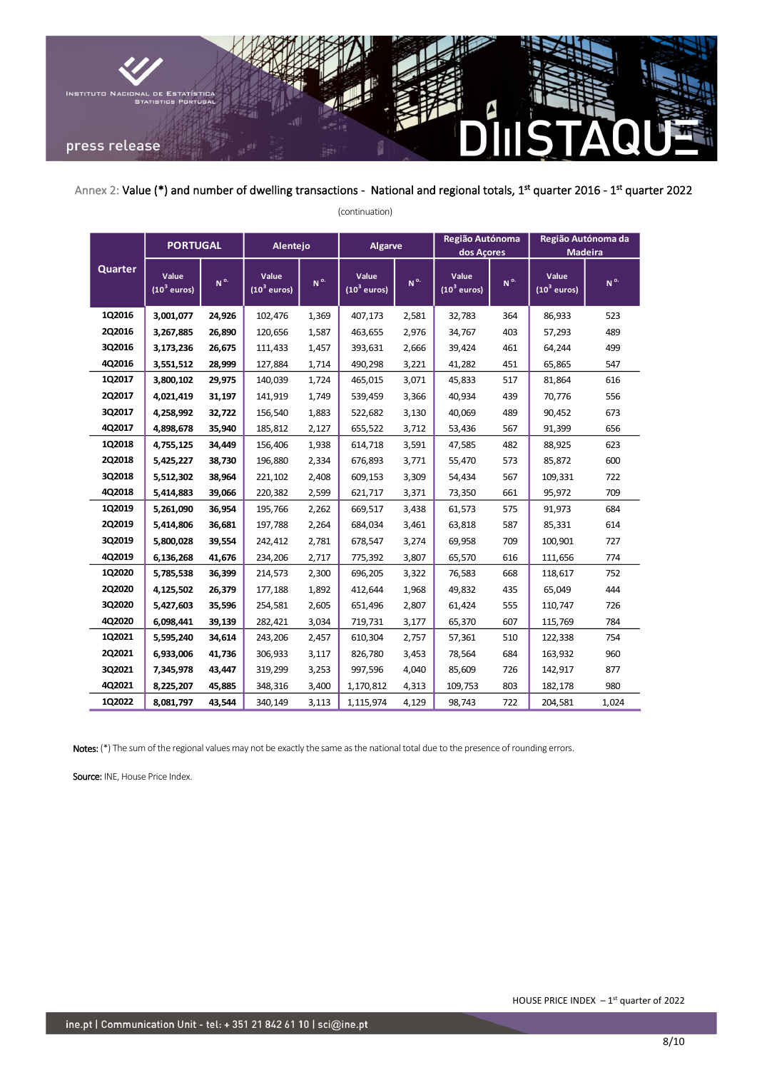

Annex 2: Value (\*) and number of dwelling transactions - National and regional totals, 1<sup>st</sup> quarter 2016 - 1<sup>st</sup> quarter 2022

| Quarter | <b>PORTUGAL</b>        |         | Alentejo               |         | <b>Algarve</b>         |         | Região Autónoma<br>dos Açores    |                | Região Autónoma da<br><b>Madeira</b> |          |
|---------|------------------------|---------|------------------------|---------|------------------------|---------|----------------------------------|----------------|--------------------------------------|----------|
|         | Value<br>$(103$ euros) | $N^{o}$ | Value<br>$(103$ euros) | $N^{o}$ | Value<br>$(103$ euros) | $N^{o}$ | Value<br>(10 <sup>3</sup> euros) | N <sup>o</sup> | Value<br>$(10^3$ euros)              | $N^{o.}$ |
| 1Q2016  | 3,001,077              | 24,926  | 102,476                | 1,369   | 407,173                | 2,581   | 32,783                           | 364            | 86,933                               | 523      |
| 2Q2016  | 3,267,885              | 26,890  | 120,656                | 1,587   | 463,655                | 2,976   | 34,767                           | 403            | 57,293                               | 489      |
| 3Q2016  | 3,173,236              | 26,675  | 111,433                | 1,457   | 393,631                | 2,666   | 39,424                           | 461            | 64,244                               | 499      |
| 4Q2016  | 3,551,512              | 28,999  | 127,884                | 1,714   | 490,298                | 3,221   | 41,282                           | 451            | 65,865                               | 547      |
| 1Q2017  | 3,800,102              | 29,975  | 140,039                | 1,724   | 465,015                | 3,071   | 45,833                           | 517            | 81,864                               | 616      |
| 2Q2017  | 4,021,419              | 31,197  | 141,919                | 1,749   | 539,459                | 3,366   | 40,934                           | 439            | 70,776                               | 556      |
| 3Q2017  | 4,258,992              | 32,722  | 156,540                | 1,883   | 522,682                | 3,130   | 40,069                           | 489            | 90,452                               | 673      |
| 4Q2017  | 4,898,678              | 35,940  | 185,812                | 2,127   | 655,522                | 3,712   | 53,436                           | 567            | 91,399                               | 656      |
| 1Q2018  | 4,755,125              | 34,449  | 156,406                | 1,938   | 614,718                | 3,591   | 47,585                           | 482            | 88,925                               | 623      |
| 2Q2018  | 5,425,227              | 38,730  | 196,880                | 2,334   | 676,893                | 3,771   | 55,470                           | 573            | 85,872                               | 600      |
| 3Q2018  | 5,512,302              | 38,964  | 221,102                | 2,408   | 609,153                | 3,309   | 54,434                           | 567            | 109,331                              | 722      |
| 4Q2018  | 5,414,883              | 39,066  | 220,382                | 2,599   | 621,717                | 3,371   | 73,350                           | 661            | 95,972                               | 709      |
| 1Q2019  | 5,261,090              | 36,954  | 195,766                | 2,262   | 669,517                | 3,438   | 61,573                           | 575            | 91,973                               | 684      |
| 2Q2019  | 5,414,806              | 36,681  | 197,788                | 2,264   | 684,034                | 3,461   | 63,818                           | 587            | 85,331                               | 614      |
| 3Q2019  | 5,800,028              | 39,554  | 242,412                | 2,781   | 678,547                | 3,274   | 69,958                           | 709            | 100,901                              | 727      |
| 4Q2019  | 6,136,268              | 41,676  | 234,206                | 2,717   | 775,392                | 3,807   | 65,570                           | 616            | 111,656                              | 774      |
| 1Q2020  | 5,785,538              | 36,399  | 214,573                | 2,300   | 696,205                | 3,322   | 76,583                           | 668            | 118,617                              | 752      |
| 2Q2020  | 4,125,502              | 26,379  | 177,188                | 1,892   | 412,644                | 1,968   | 49,832                           | 435            | 65,049                               | 444      |
| 3Q2020  | 5,427,603              | 35,596  | 254,581                | 2,605   | 651,496                | 2,807   | 61,424                           | 555            | 110,747                              | 726      |
| 4Q2020  | 6,098,441              | 39,139  | 282,421                | 3,034   | 719,731                | 3,177   | 65,370                           | 607            | 115,769                              | 784      |
| 1Q2021  | 5,595,240              | 34,614  | 243,206                | 2,457   | 610,304                | 2,757   | 57,361                           | 510            | 122,338                              | 754      |
| 2Q2021  | 6,933,006              | 41,736  | 306,933                | 3,117   | 826,780                | 3,453   | 78,564                           | 684            | 163,932                              | 960      |
| 3Q2021  | 7,345,978              | 43,447  | 319,299                | 3,253   | 997,596                | 4,040   | 85,609                           | 726            | 142,917                              | 877      |
| 4Q2021  | 8,225,207              | 45,885  | 348,316                | 3,400   | 1,170,812              | 4,313   | 109,753                          | 803            | 182,178                              | 980      |
| 1Q2022  | 8,081,797              | 43,544  | 340,149                | 3,113   | 1,115,974              | 4,129   | 98,743                           | 722            | 204,581                              | 1,024    |

(continuation)

Notes: (\*) The sum of the regional values may not be exactly the same as the national total due to the presence of rounding errors.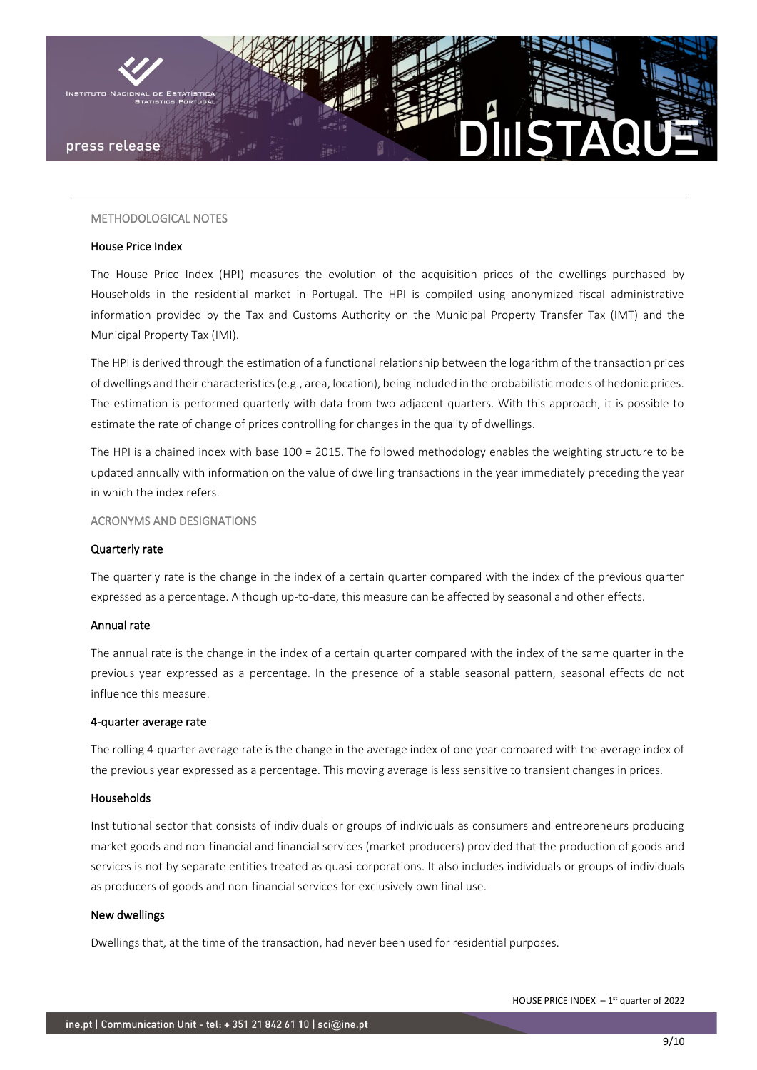

## METHODOLOGICAL NOTES

#### House Price Index

The House Price Index (HPI) measures the evolution of the acquisition prices of the dwellings purchased by Households in the residential market in Portugal. The HPI is compiled using anonymized fiscal administrative information provided by the Tax and Customs Authority on the Municipal Property Transfer Tax (IMT) and the Municipal Property Tax (IMI).

The HPI is derived through the estimation of a functional relationship between the logarithm of the transaction prices of dwellings and their characteristics (e.g., area, location), being included in the probabilistic models of hedonic prices. The estimation is performed quarterly with data from two adjacent quarters. With this approach, it is possible to estimate the rate of change of prices controlling for changes in the quality of dwellings.

The HPI is a chained index with base 100 = 2015. The followed methodology enables the weighting structure to be updated annually with information on the value of dwelling transactions in the year immediately preceding the year in which the index refers.

ACRONYMS AND DESIGNATIONS

## Quarterly rate

The quarterly rate is the change in the index of a certain quarter compared with the index of the previous quarter expressed as a percentage. Although up-to-date, this measure can be affected by seasonal and other effects.

## Annual rate

The annual rate is the change in the index of a certain quarter compared with the index of the same quarter in the previous year expressed as a percentage. In the presence of a stable seasonal pattern, seasonal effects do not influence this measure.

#### 4-quarter average rate

The rolling 4-quarter average rate is the change in the average index of one year compared with the average index of the previous year expressed as a percentage. This moving average is less sensitive to transient changes in prices.

## Households

Institutional sector that consists of individuals or groups of individuals as consumers and entrepreneurs producing market goods and non-financial and financial services (market producers) provided that the production of goods and services is not by separate entities treated as quasi-corporations. It also includes individuals or groups of individuals as producers of goods and non-financial services for exclusively own final use.

#### New dwellings

Dwellings that, at the time of the transaction, had never been used for residential purposes.